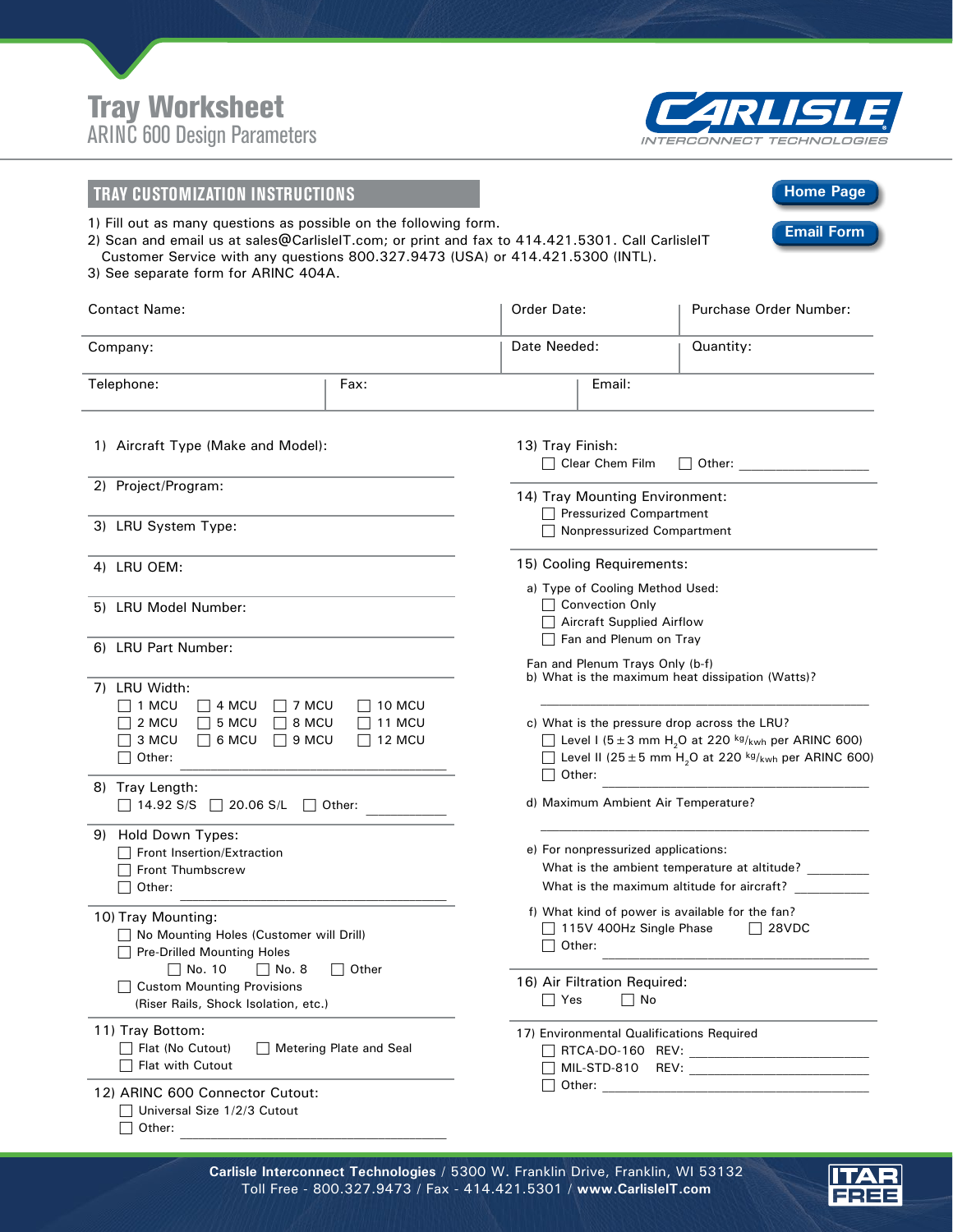



**Home Page**

**Email Form**

## **TRAY CUSTOMIZATION INSTRUCTIONS**

1) Fill out as many questions as possible on the following form.

2) Scan and email us at sales@CarlisleIT.com; or print and fax to 414.421.5301. Call CarlisleIT Customer Service with any questions 800.327.9473 (USA) or 414.421.5300 (INTL).

3) See separate form for ARINC 404A.

| <b>Contact Name:</b>                                                                                                                                                                                            |      | Order Date:                                                                                                                                                                                                                           |                                                                                                                                   | Purchase Order Number: |  |
|-----------------------------------------------------------------------------------------------------------------------------------------------------------------------------------------------------------------|------|---------------------------------------------------------------------------------------------------------------------------------------------------------------------------------------------------------------------------------------|-----------------------------------------------------------------------------------------------------------------------------------|------------------------|--|
| Company:                                                                                                                                                                                                        |      | Date Needed:                                                                                                                                                                                                                          |                                                                                                                                   | Quantity:              |  |
| Telephone:                                                                                                                                                                                                      | Fax: |                                                                                                                                                                                                                                       | Email:                                                                                                                            |                        |  |
| 1) Aircraft Type (Make and Model):                                                                                                                                                                              |      | 13) Tray Finish:<br>$\Box$ Clear Chem Film<br>    Other:                                                                                                                                                                              |                                                                                                                                   |                        |  |
| 2) Project/Program:<br>3) LRU System Type:                                                                                                                                                                      |      | 14) Tray Mounting Environment:<br>$\Box$ Pressurized Compartment                                                                                                                                                                      |                                                                                                                                   |                        |  |
|                                                                                                                                                                                                                 |      |                                                                                                                                                                                                                                       | Nonpressurized Compartment                                                                                                        |                        |  |
| 4) LRU OEM:                                                                                                                                                                                                     |      |                                                                                                                                                                                                                                       | 15) Cooling Requirements:                                                                                                         |                        |  |
| 5) LRU Model Number:                                                                                                                                                                                            |      |                                                                                                                                                                                                                                       | a) Type of Cooling Method Used:<br>□ Convection Only<br><b>Aircraft Supplied Airflow</b><br>Fan and Plenum on Tray                |                        |  |
| 6) LRU Part Number:                                                                                                                                                                                             |      |                                                                                                                                                                                                                                       | Fan and Plenum Trays Only (b-f)<br>b) What is the maximum heat dissipation (Watts)?                                               |                        |  |
| 7) LRU Width:<br>1 MCU<br>$\Box$ 4 MCU<br>7 MCU<br>10 MCU<br>2 MCU<br>$\Box$ 5 MCU<br>8 MCU<br>11 MCU<br>3 MCU<br>$\Box$ 6 MCU<br>9 MCU<br>$\Box$ 12 MCU<br>Other:<br>8) Tray Length:                           |      | c) What is the pressure drop across the LRU?<br>Level I ( $5 \pm 3$ mm H <sub>2</sub> O at 220 <sup>kg</sup> /kwh per ARINC 600)<br>Level II (25 ± 5 mm H <sub>2</sub> O at 220 kg/ <sub>kwh</sub> per ARINC 600)<br>Other:<br>$\Box$ |                                                                                                                                   |                        |  |
| 14.92 S/S □ 20.06 S/L<br>    Other:                                                                                                                                                                             |      |                                                                                                                                                                                                                                       | d) Maximum Ambient Air Temperature?                                                                                               |                        |  |
| 9) Hold Down Types:<br>Front Insertion/Extraction<br><b>Front Thumbscrew</b><br>Other:                                                                                                                          |      |                                                                                                                                                                                                                                       | e) For nonpressurized applications:<br>What is the ambient temperature at altitude?<br>What is the maximum altitude for aircraft? |                        |  |
| 10) Tray Mounting:<br>No Mounting Holes (Customer will Drill)<br><b>Pre-Drilled Mounting Holes</b><br>No. 10<br>    No. 8<br>Other<br><b>Custom Mounting Provisions</b><br>(Riser Rails, Shock Isolation, etc.) |      |                                                                                                                                                                                                                                       | f) What kind of power is available for the fan?<br>$\Box$ 115V 400Hz Single Phase<br>$\Box$ 28VDC<br>Other:                       |                        |  |
|                                                                                                                                                                                                                 |      | 16) Air Filtration Required:<br>$\Box$ Yes<br>$\Box$ No                                                                                                                                                                               |                                                                                                                                   |                        |  |
| 11) Tray Bottom:<br>Flat (No Cutout)<br>◯ Metering Plate and Seal<br>Flat with Cutout                                                                                                                           |      |                                                                                                                                                                                                                                       | 17) Environmental Qualifications Required                                                                                         |                        |  |
| 12) ARINC 600 Connector Cutout:<br>□ Universal Size 1/2/3 Cutout<br>Other:                                                                                                                                      |      |                                                                                                                                                                                                                                       |                                                                                                                                   |                        |  |